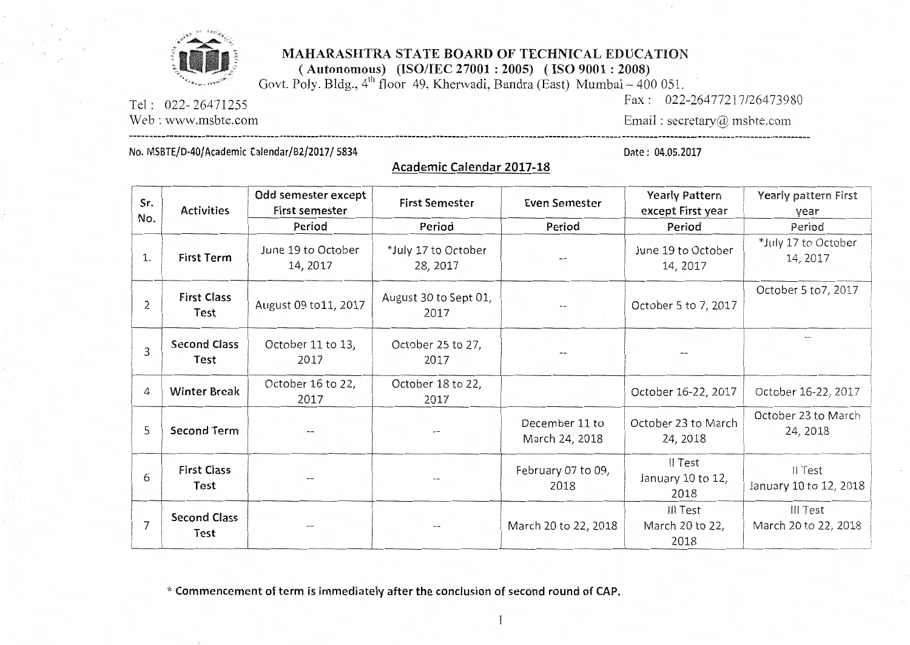

## MAHARASHTRA STATE BOARD OF TECHNICAL EDUCATION

(Autonomous) (ISO/IEC 27001 : 2005) (ISO 9001 : 2008)<br>Govt. Poly. Bldg.,  $4^{\text{th}}$  floor 49, Kherwadi, Bandra (East) Mumbai – 400 051.

Academic Calendar 2017-18

Tel: 022-26471255

Web: www.msbte.com

Fax: 022-26477217/26473980 Email: secretary@ msbte.com

No. MSBTE/D-40/Academic Calendar/B2/2017/5834

Date: 04.05.2017

| Sr.            | <b>Activities</b>           | Odd semester except<br>First semester | <b>First Semester</b>           | Even Semester                    | <b>Yearly Pattern</b><br>except First year | Yearly pattern First<br>year      |
|----------------|-----------------------------|---------------------------------------|---------------------------------|----------------------------------|--------------------------------------------|-----------------------------------|
| No.            |                             | Period                                | Period                          | Period                           | Period                                     | Period                            |
| 1.             | <b>First Term</b>           | June 19 to October<br>14, 2017        | *July 17 to October<br>28, 2017 |                                  | June 19 to October<br>14, 2017             | *July 17 to October<br>14, 2017   |
| $\overline{2}$ | <b>First Class</b><br>Test  | August 09 to 11, 2017                 | August 30 to Sept 01,<br>2017   |                                  | October 5 to 7, 2017                       | October 5 to 7, 2017              |
| 3              | <b>Second Class</b><br>Test | October 11 to 13,<br>2017             | October 25 to 27,<br>2017       |                                  |                                            |                                   |
| 4              | <b>Winter Break</b>         | October 16 to 22,<br>2017             | October 18 to 22,<br>2017       |                                  | October 16-22, 2017                        | October 16-22, 2017               |
| 5              | <b>Second Term</b>          |                                       |                                 | December 11 to<br>March 24, 2018 | October 23 to March<br>24, 2018            | October 23 to March<br>24, 2018   |
| 6              | <b>First Class</b><br>Test  |                                       |                                 | February 07 to 09,<br>2018       | Il Test<br>January 10 to 12,<br>2018       | II Test<br>January 10 to 12, 2018 |
| 7              | <b>Second Class</b><br>Test |                                       |                                 | March 20 to 22, 2018             | III Test<br>March 20 to 22,<br>2018        | III Test<br>March 20 to 22, 2018  |

\* Commencement of term is immediately after the conclusion of second round of CAP.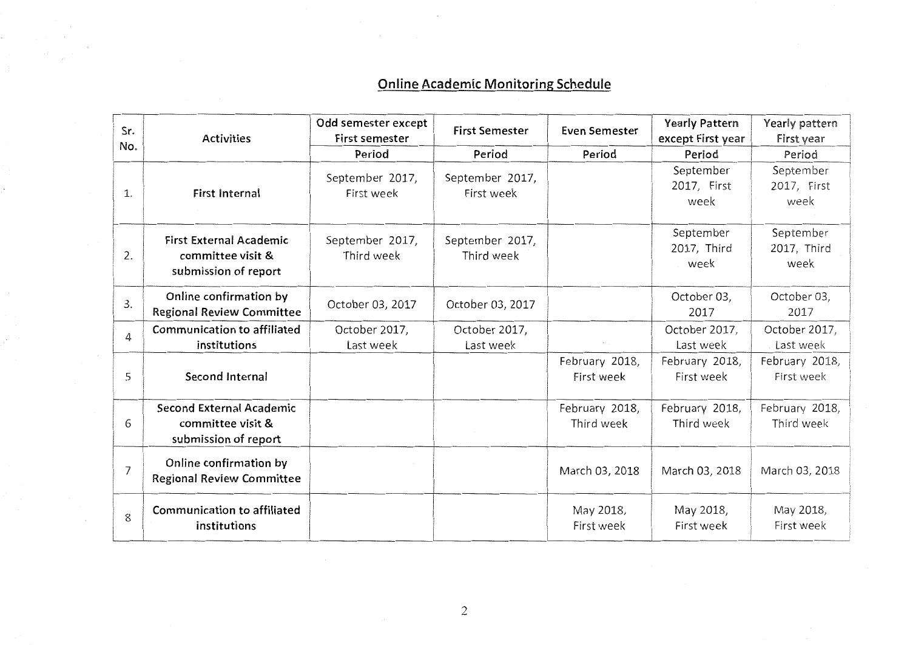## Online Academic Monitoring Schedule

| Sr.            | <b>Activities</b>                                                           | Odd semester except<br><b>First semester</b> | <b>First Semester</b>         | <b>Even Semester</b>         | <b>Yearly Pattern</b><br>except First year | Yearly pattern<br>First year     |
|----------------|-----------------------------------------------------------------------------|----------------------------------------------|-------------------------------|------------------------------|--------------------------------------------|----------------------------------|
| No.            |                                                                             | Period                                       | Period                        | Period                       | Period                                     | Period                           |
| 1.             | <b>First Internal</b>                                                       | September 2017,<br>First week                | September 2017,<br>First week |                              | September<br>2017, First<br>week           | September<br>2017, First<br>week |
| 2.             | <b>First External Academic</b><br>committee visit &<br>submission of report | September 2017,<br>Third week                | September 2017,<br>Third week |                              | September<br>2017, Third<br>week           | September<br>2017, Third<br>week |
| 3.             | Online confirmation by<br><b>Regional Review Committee</b>                  | October 03, 2017                             | October 03, 2017              |                              | October 03,<br>2017                        | October 03,<br>2017              |
| 4              | Communication to affiliated<br>institutions                                 | October 2017,<br>Last week                   | October 2017,<br>Last week    |                              | October 2017,<br>Last week                 | October 2017,<br>Last week       |
| 5              | Second Internal                                                             |                                              |                               | February 2018,<br>First week | February 2018,<br>First week               | February 2018,<br>First week     |
| 6              | Second External Academic<br>committee visit &<br>submission of report       |                                              |                               | February 2018,<br>Third week | February 2018,<br>Third week               | February 2018,<br>Third week     |
| $\overline{7}$ | Online confirmation by<br><b>Regional Review Committee</b>                  |                                              |                               | March 03, 2018               | March 03, 2018                             | March 03, 2018                   |
| 8              | Communication to affiliated<br>institutions                                 |                                              |                               | May 2018,<br>First week      | May 2018,<br>First week                    | May 2018,<br>First week          |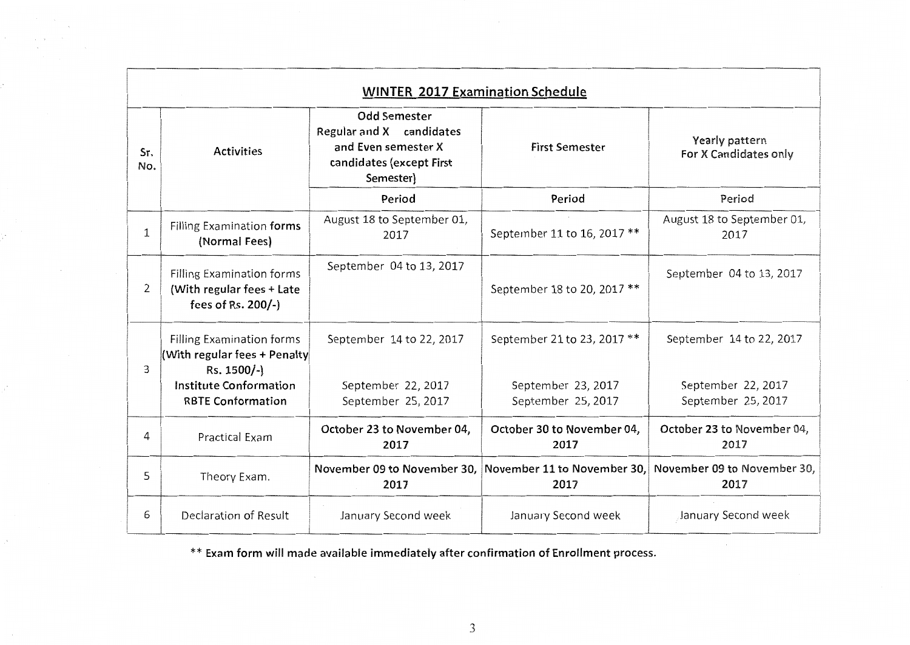|                | <b>WINTER 2017 Examination Schedule</b>                                             |                                                                                                                 |                                          |                                                                 |  |
|----------------|-------------------------------------------------------------------------------------|-----------------------------------------------------------------------------------------------------------------|------------------------------------------|-----------------------------------------------------------------|--|
| Sr.<br>No.     | <b>Activities</b>                                                                   | <b>Odd Semester</b><br>Regular and X candidates<br>and Even semester X<br>candidates (except First<br>Semester) | <b>First Semester</b>                    | Yearly pattern<br>For X Candidates only                         |  |
|                |                                                                                     | Period                                                                                                          | Period                                   | Period                                                          |  |
| 1              | Filling Examination forms<br>(Normal Fees)                                          | August 18 to September 01,<br>2017                                                                              | September 11 to 16, 2017 **              | August 18 to September 01,<br>2017                              |  |
| $\overline{2}$ | <b>Filling Examination forms</b><br>(With regular fees + Late<br>fees of Rs. 200/-) | September 04 to 13, 2017                                                                                        | September 18 to 20, 2017 **              | September 04 to 13, 2017                                        |  |
| 3              | <b>Filling Examination forms</b><br>(With regular fees + Penalty<br>Rs. 1500/-)     | September 14 to 22, 2017                                                                                        | September 21 to 23, 2017 **              | September 14 to 22, 2017                                        |  |
|                | <b>Institute Conformation</b><br><b>RBTE Conformation</b>                           | September 22, 2017<br>September 25, 2017                                                                        | September 23, 2017<br>September 25, 2017 | September 22, 2017<br>September 25, 2017                        |  |
| 4              | <b>Practical Exam</b>                                                               | October 23 to November 04,<br>2017                                                                              | October 30 to November 04,<br>2017       | October 23 to November 04,<br>2017                              |  |
| 5              | Theory Exam.                                                                        | November 09 to November 30,<br>2017                                                                             | 2017                                     | November 11 to November 30, November 09 to November 30,<br>2017 |  |
| 6              | Declaration of Result                                                               | January Second week                                                                                             | January Second week                      | January Second week                                             |  |

\*\* Exam form will made available immediately after confirmation of Enrollment process.

 $\mathcal{C}$ 

 $\mathcal{N}$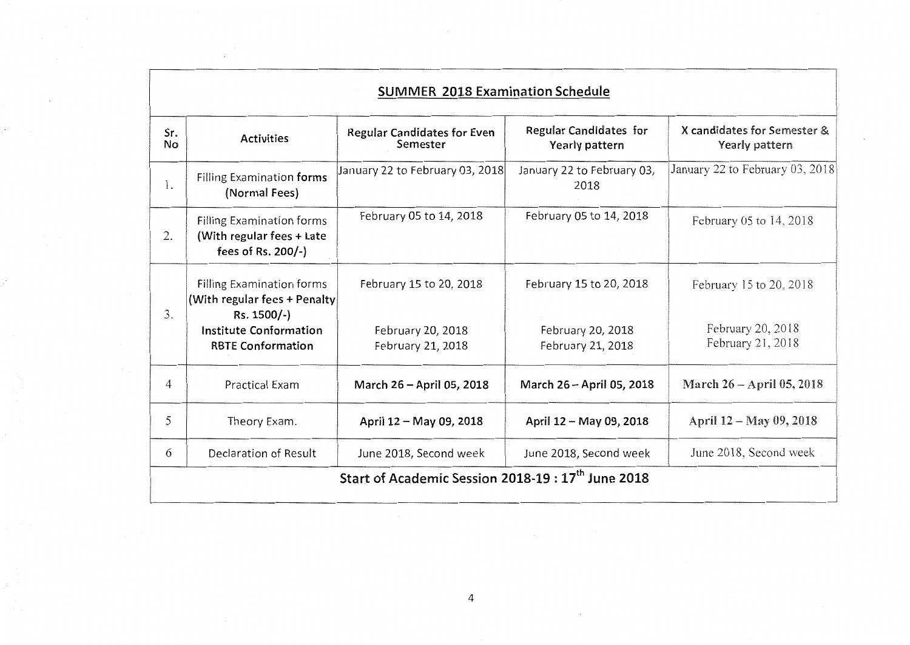|           | <b>SUMMER 2018 Examination Schedule</b>                                                                                                      |                                                                   |                                                                   |                                                                   |  |
|-----------|----------------------------------------------------------------------------------------------------------------------------------------------|-------------------------------------------------------------------|-------------------------------------------------------------------|-------------------------------------------------------------------|--|
| Sr.<br>No | <b>Activities</b>                                                                                                                            | <b>Regular Candidates for Even</b><br>Semester                    | Regular Candidates for<br>Yearly pattern                          | X candidates for Semester &<br>Yearly pattern                     |  |
| 1.        | Filling Examination forms<br>(Normal Fees)                                                                                                   | January 22 to February 03, 2018                                   | January 22 to February 03,<br>2018                                | January 22 to February 03, 2018                                   |  |
| 2.        | <b>Filling Examination forms</b><br>(With regular fees + Late<br>fees of Rs. 200/-)                                                          | February 05 to 14, 2018                                           | February 05 to 14, 2018                                           | February 05 to 14, 2018                                           |  |
| 3.        | <b>Filling Examination forms</b><br>(With regular fees + Penalty<br>Rs. 1500/-)<br><b>Institute Conformation</b><br><b>RBTE Conformation</b> | February 15 to 20, 2018<br>February 20, 2018<br>February 21, 2018 | February 15 to 20, 2018<br>February 20, 2018<br>February 21, 2018 | February 15 to 20, 2018<br>February 20, 2018<br>February 21, 2018 |  |
| 4         | <b>Practical Exam</b>                                                                                                                        | March 26 - April 05, 2018                                         | March 26 - April 05, 2018                                         | March 26 - April 05, 2018                                         |  |
| 5         | Theory Exam.                                                                                                                                 | April 12 - May 09, 2018                                           | April 12 - May 09, 2018                                           | April 12 – May 09, 2018                                           |  |
| 6         | Declaration of Result                                                                                                                        | June 2018, Second week                                            | June 2018, Second week                                            | June 2018, Second week                                            |  |
|           |                                                                                                                                              | Start of Academic Session 2018-19:17 <sup>th</sup> June 2018      |                                                                   |                                                                   |  |